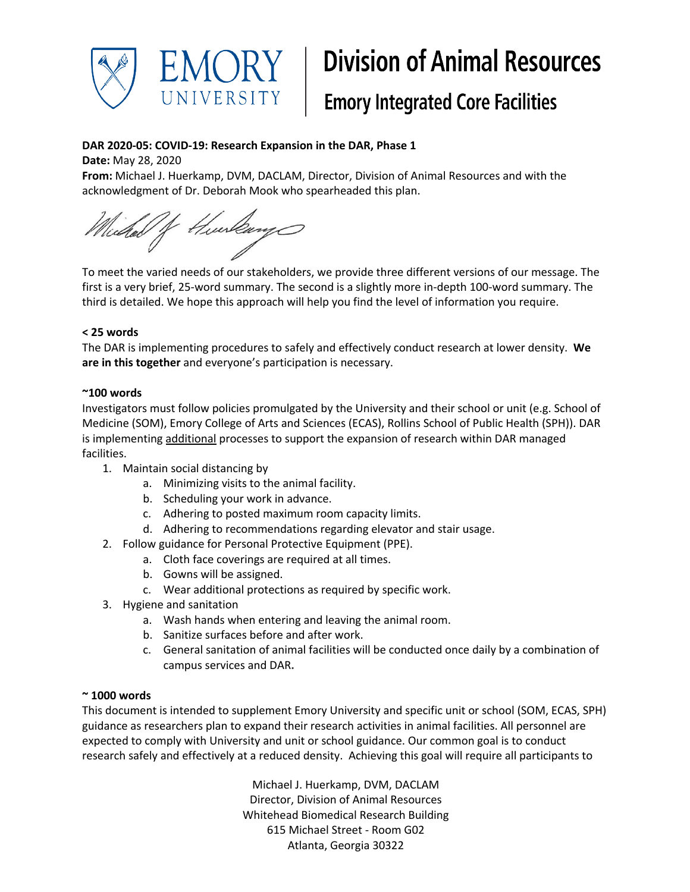

# **Division of Animal Resources**

# **Emory Integrated Core Facilities**

## **DAR 2020-05: COVID-19: Research Expansion in the DAR, Phase 1**

**Date:** May 28, 2020

**From:** Michael J. Huerkamp, DVM, DACLAM, Director, Division of Animal Resources and with the acknowledgment of Dr. Deborah Mook who spearheaded this plan.

/ Hundany celed

To meet the varied needs of our stakeholders, we provide three different versions of our message. The first is a very brief, 25-word summary. The second is a slightly more in-depth 100-word summary. The third is detailed. We hope this approach will help you find the level of information you require.

### **< 25 words**

The DAR is implementing procedures to safely and effectively conduct research at lower density. **We are in this together** and everyone's participation is necessary.

#### **~100 words**

Investigators must follow policies promulgated by the University and their school or unit (e.g. School of Medicine (SOM), Emory College of Arts and Sciences (ECAS), Rollins School of Public Health (SPH)). DAR is implementing additional processes to support the expansion of research within DAR managed facilities.

- 1. Maintain social distancing by
	- a. Minimizing visits to the animal facility.
	- b. Scheduling your work in advance.
	- c. Adhering to posted maximum room capacity limits.
	- d. Adhering to recommendations regarding elevator and stair usage.
- 2. Follow guidance for Personal Protective Equipment (PPE).
	- a. Cloth face coverings are required at all times.
	- b. Gowns will be assigned.
	- c. Wear additional protections as required by specific work.
- 3. Hygiene and sanitation
	- a. Wash hands when entering and leaving the animal room.
	- b. Sanitize surfaces before and after work.
	- c. General sanitation of animal facilities will be conducted once daily by a combination of campus services and DAR**.**

#### **~ 1000 words**

This document is intended to supplement Emory University and specific unit or school (SOM, ECAS, SPH) guidance as researchers plan to expand their research activities in animal facilities. All personnel are expected to comply with University and unit or school guidance. Our common goal is to conduct research safely and effectively at a reduced density. Achieving this goal will require all participants to

> Michael J. Huerkamp, DVM, DACLAM Director, Division of Animal Resources Whitehead Biomedical Research Building 615 Michael Street - Room G02 Atlanta, Georgia 30322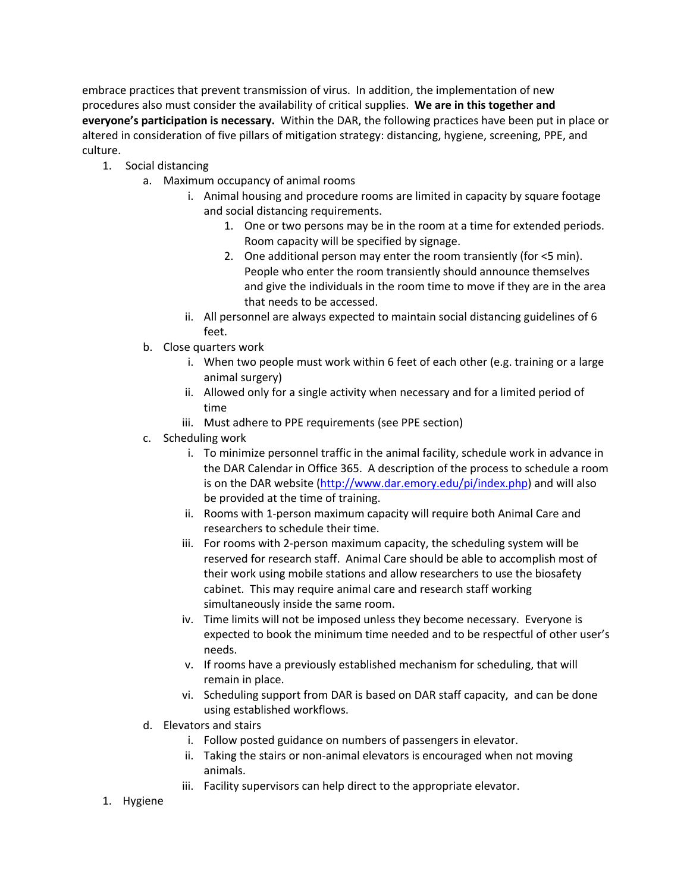embrace practices that prevent transmission of virus. In addition, the implementation of new procedures also must consider the availability of critical supplies. **We are in this together and everyone's participation is necessary.** Within the DAR, the following practices have been put in place or altered in consideration of five pillars of mitigation strategy: distancing, hygiene, screening, PPE, and culture.

- 1. Social distancing
	- a. Maximum occupancy of animal rooms
		- i. Animal housing and procedure rooms are limited in capacity by square footage and social distancing requirements.
			- 1. One or two persons may be in the room at a time for extended periods. Room capacity will be specified by signage.
			- 2. One additional person may enter the room transiently (for <5 min). People who enter the room transiently should announce themselves and give the individuals in the room time to move if they are in the area that needs to be accessed.
		- ii. All personnel are always expected to maintain social distancing guidelines of 6 feet.
	- b. Close quarters work
		- i. When two people must work within 6 feet of each other (e.g. training or a large animal surgery)
		- ii. Allowed only for a single activity when necessary and for a limited period of time
		- iii. Must adhere to PPE requirements (see PPE section)
	- c. Scheduling work
		- i. To minimize personnel traffic in the animal facility, schedule work in advance in the DAR Calendar in Office 365. A description of the process to schedule a room is on the DAR website (http://www.dar.emory.edu/pi/index.php) and will also be provided at the time of training.
		- ii. Rooms with 1-person maximum capacity will require both Animal Care and researchers to schedule their time.
		- iii. For rooms with 2-person maximum capacity, the scheduling system will be reserved for research staff. Animal Care should be able to accomplish most of their work using mobile stations and allow researchers to use the biosafety cabinet. This may require animal care and research staff working simultaneously inside the same room.
		- iv. Time limits will not be imposed unless they become necessary. Everyone is expected to book the minimum time needed and to be respectful of other user's needs.
		- v. If rooms have a previously established mechanism for scheduling, that will remain in place.
		- vi. Scheduling support from DAR is based on DAR staff capacity, and can be done using established workflows.
	- d. Elevators and stairs
		- i. Follow posted guidance on numbers of passengers in elevator.
		- ii. Taking the stairs or non-animal elevators is encouraged when not moving animals.
		- iii. Facility supervisors can help direct to the appropriate elevator.
- 1. Hygiene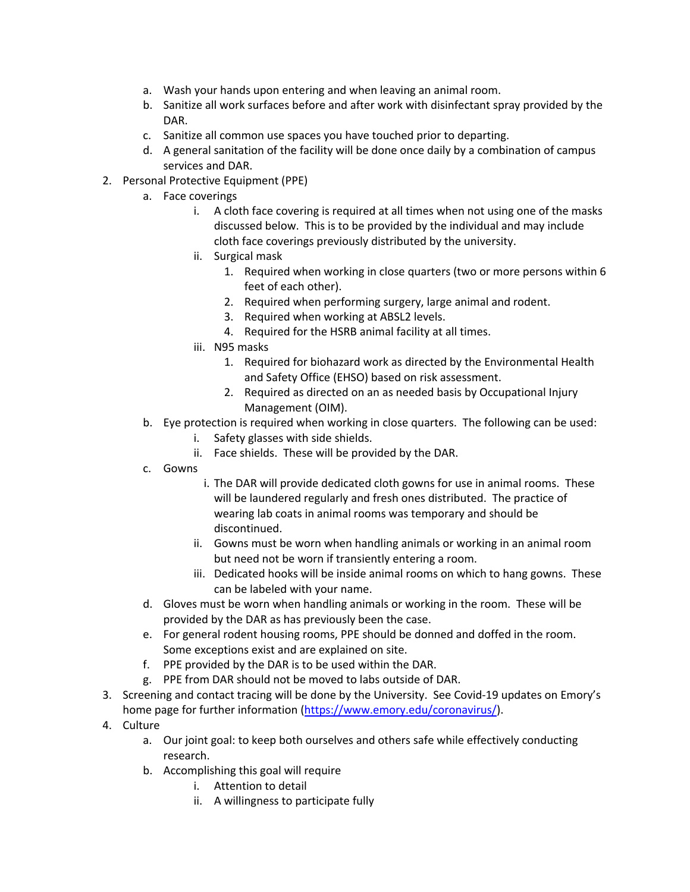- a. Wash your hands upon entering and when leaving an animal room.
- b. Sanitize all work surfaces before and after work with disinfectant spray provided by the DAR.
- c. Sanitize all common use spaces you have touched prior to departing.
- d. A general sanitation of the facility will be done once daily by a combination of campus services and DAR.
- 2. Personal Protective Equipment (PPE)
	- a. Face coverings
		- i. A cloth face covering is required at all times when not using one of the masks discussed below. This is to be provided by the individual and may include cloth face coverings previously distributed by the university.
		- ii. Surgical mask
			- 1. Required when working in close quarters (two or more persons within 6 feet of each other).
			- 2. Required when performing surgery, large animal and rodent.
			- 3. Required when working at ABSL2 levels.
			- 4. Required for the HSRB animal facility at all times.
		- iii. N95 masks
			- 1. Required for biohazard work as directed by the Environmental Health and Safety Office (EHSO) based on risk assessment.
			- 2. Required as directed on an as needed basis by Occupational Injury Management (OIM).
	- b. Eye protection is required when working in close quarters. The following can be used:
		- i. Safety glasses with side shields.
		- ii. Face shields. These will be provided by the DAR.
	- c. Gowns
		- i. The DAR will provide dedicated cloth gowns for use in animal rooms. These will be laundered regularly and fresh ones distributed. The practice of wearing lab coats in animal rooms was temporary and should be discontinued.
		- ii. Gowns must be worn when handling animals or working in an animal room but need not be worn if transiently entering a room.
		- iii. Dedicated hooks will be inside animal rooms on which to hang gowns. These can be labeled with your name.
	- d. Gloves must be worn when handling animals or working in the room. These will be provided by the DAR as has previously been the case.
	- e. For general rodent housing rooms, PPE should be donned and doffed in the room. Some exceptions exist and are explained on site.
	- f. PPE provided by the DAR is to be used within the DAR.
	- g. PPE from DAR should not be moved to labs outside of DAR.
- 3. Screening and contact tracing will be done by the University. See Covid-19 updates on Emory's home page for further information (https://www.emory.edu/coronavirus/).
- 4. Culture
	- a. Our joint goal: to keep both ourselves and others safe while effectively conducting research.
	- b. Accomplishing this goal will require
		- i. Attention to detail
		- ii. A willingness to participate fully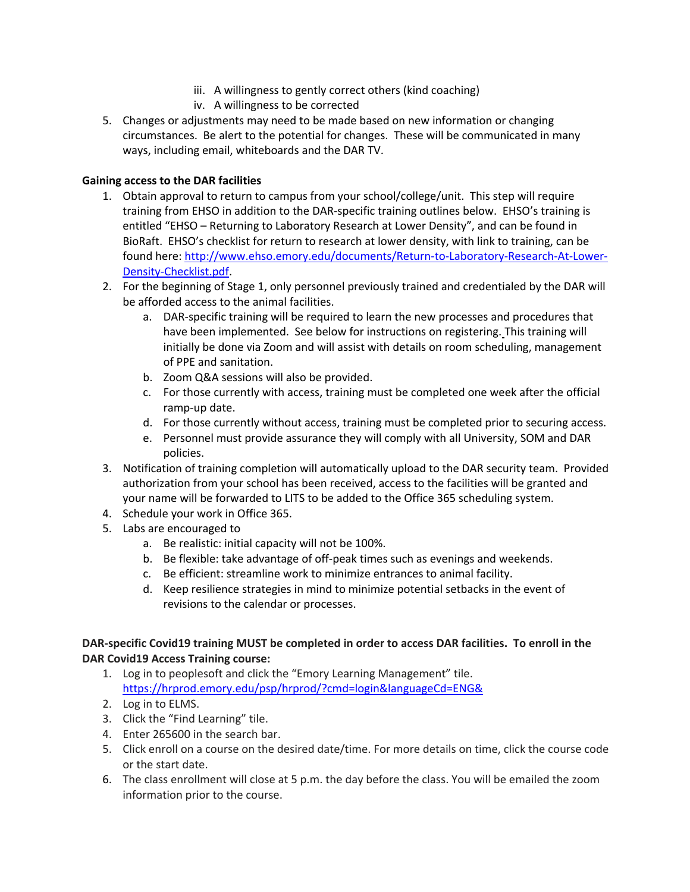- iii. A willingness to gently correct others (kind coaching)
- iv. A willingness to be corrected
- 5. Changes or adjustments may need to be made based on new information or changing circumstances. Be alert to the potential for changes. These will be communicated in many ways, including email, whiteboards and the DAR TV.

#### **Gaining access to the DAR facilities**

- 1. Obtain approval to return to campus from your school/college/unit. This step will require training from EHSO in addition to the DAR-specific training outlines below. EHSO's training is entitled "EHSO – Returning to Laboratory Research at Lower Density", and can be found in BioRaft. EHSO's checklist for return to research at lower density, with link to training, can be found here: http://www.ehso.emory.edu/documents/Return-to-Laboratory-Research-At-Lower-Density-Checklist.pdf.
- 2. For the beginning of Stage 1, only personnel previously trained and credentialed by the DAR will be afforded access to the animal facilities.
	- a. DAR-specific training will be required to learn the new processes and procedures that have been implemented. See below for instructions on registering. This training will initially be done via Zoom and will assist with details on room scheduling, management of PPE and sanitation.
	- b. Zoom Q&A sessions will also be provided.
	- c. For those currently with access, training must be completed one week after the official ramp-up date.
	- d. For those currently without access, training must be completed prior to securing access.
	- e. Personnel must provide assurance they will comply with all University, SOM and DAR policies.
- 3. Notification of training completion will automatically upload to the DAR security team. Provided authorization from your school has been received, access to the facilities will be granted and your name will be forwarded to LITS to be added to the Office 365 scheduling system.
- 4. Schedule your work in Office 365.
- 5. Labs are encouraged to
	- a. Be realistic: initial capacity will not be 100%.
	- b. Be flexible: take advantage of off-peak times such as evenings and weekends.
	- c. Be efficient: streamline work to minimize entrances to animal facility.
	- d. Keep resilience strategies in mind to minimize potential setbacks in the event of revisions to the calendar or processes.

#### **DAR-specific Covid19 training MUST be completed in order to access DAR facilities. To enroll in the DAR Covid19 Access Training course:**

- 1. Log in to peoplesoft and click the "Emory Learning Management" tile. https://hrprod.emory.edu/psp/hrprod/?cmd=login&languageCd=ENG&
- 2. Log in to ELMS.
- 3. Click the "Find Learning" tile.
- 4. Enter 265600 in the search bar.
- 5. Click enroll on a course on the desired date/time. For more details on time, click the course code or the start date.
- 6. The class enrollment will close at 5 p.m. the day before the class. You will be emailed the zoom information prior to the course.